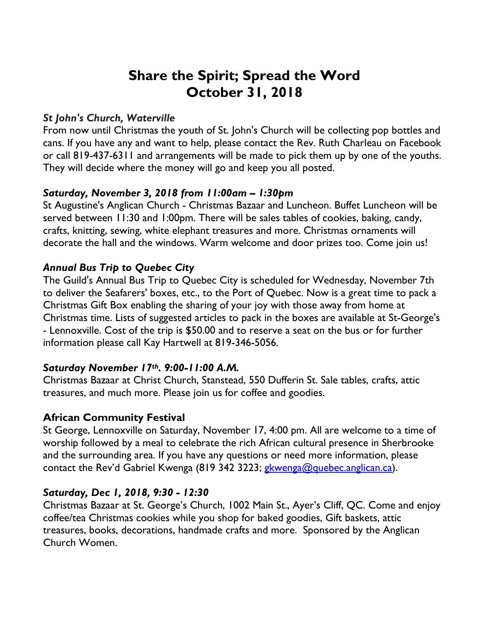# **Share the Spirit; Spread the Word October 31, 2018**

## *St John's Church, Waterville*

From now until Christmas the youth of St. John's Church will be collecting pop bottles and cans. If you have any and want to help, please contact the Rev. Ruth Charleau on Facebook or call 819-437-6311 and arrangements will be made to pick them up by one of the youths. They will decide where the money will go and keep you all posted.

## *Saturday, November 3, 2018 from 11:00am – 1:30pm*

St Augustine's Anglican Church - Christmas Bazaar and Luncheon. Buffet Luncheon will be served between 11:30 and 1:00pm. There will be sales tables of cookies, baking, candy, crafts, knitting, sewing, white elephant treasures and more. Christmas ornaments will decorate the hall and the windows. Warm welcome and door prizes too. Come join us!

## *Annual Bus Trip to Quebec City*

The Guild's Annual Bus Trip to Quebec City is scheduled for Wednesday, November 7th to deliver the Seafarers' boxes, etc., to the Port of Quebec. Now is a great time to pack a Christmas Gift Box enabling the sharing of your joy with those away from home at Christmas time. Lists of suggested articles to pack in the boxes are available at St-George's - Lennoxville. Cost of the trip is \$50.00 and to reserve a seat on the bus or for further information please call Kay Hartwell at 819-346-5056.

#### *Saturday November 17th. 9:00-11:00 A.M.*

Christmas Bazaar at Christ Church, Stanstead, 550 Dufferin St. Sale tables, crafts, attic treasures, and much more. Please join us for coffee and goodies.

# **African Community Festival**

St George, Lennoxville on Saturday, November 17, 4:00 pm. All are welcome to a time of worship followed by a meal to celebrate the rich African cultural presence in Sherbrooke and the surrounding area. If you have any questions or need more information, please contact the Rev'd Gabriel Kwenga (819 342 3223; gkwenga@quebec.anglican.ca).

# *Saturday, Dec 1, 2018, 9:30 - 12:30*

Christmas Bazaar at St. George's Church, 1002 Main St., Ayer's Cliff, QC. Come and enjoy coffee/tea Christmas cookies while you shop for baked goodies, Gift baskets, attic treasures, books, decorations, handmade crafts and more. Sponsored by the Anglican Church Women.